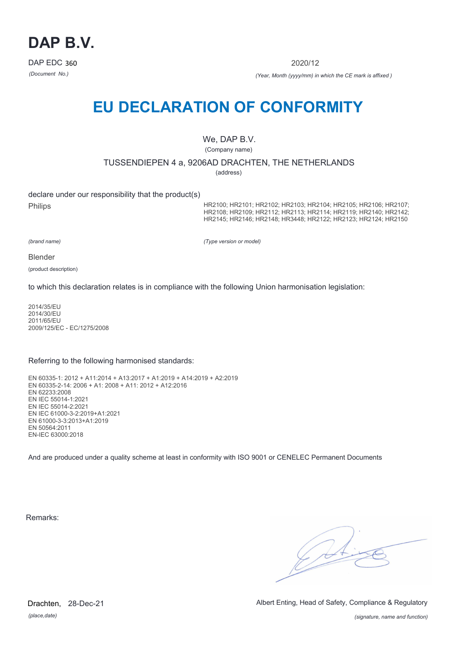

2020/12

*(Document No.) (Year, Month (yyyy/mm) in which the CE mark is affixed )*

# **EU DECLARATION OF CONFORMITY**

We, DAP B.V.

(Company name)

TUSSENDIEPEN 4 a, 9206AD DRACHTEN, THE NETHERLANDS

(address)

declare under our responsibility that the product(s) Philips

HR2100; HR2101; HR2102; HR2103; HR2104; HR2105; HR2106; HR2107; HR2108; HR2109; HR2112; HR2113; HR2114; HR2119; HR2140; HR2142; HR2145; HR2146; HR2148; HR3448; HR2122; HR2123; HR2124; HR2150

*(brand name)*

*(Type version or model)*

Blender

(product description)

to which this declaration relates is in compliance with the following Union harmonisation legislation:

2014/35/EU 2014/30/EU 2011/65/EU 2009/125/EC - EC/1275/2008

#### Referring to the following harmonised standards:

EN 60335-1: 2012 + A11:2014 + A13:2017 + A1:2019 + A14:2019 + A2:2019 EN 60335-2-14: 2006 + A1: 2008 + A11: 2012 + A12:2016 EN 62233:2008 EN IEC 55014-1:2021 EN IEC 55014-2:2021 EN IEC 61000-3-2:2019+A1:2021 EN 61000-3-3:2013+A1:2019 EN 50564:2011 EN-IEC 63000:2018

And are produced under a quality scheme at least in conformity with ISO 9001 or CENELEC Permanent Documents

Remarks:

 $\sqrt{2}$ 

*(place,date)* Drachten, 28-Dec-21 Albert Enting, Head of Safety, Compliance & Regulatory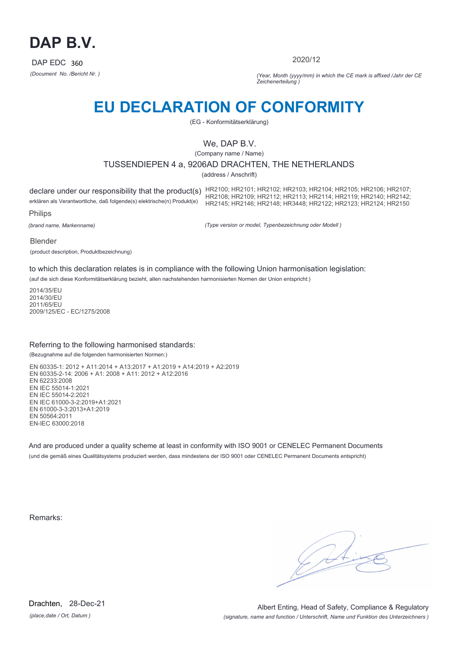

2020/12

*(Document No. /Bericht Nr. ) (Year, Month (yyyy/mm) in which the CE mark is affixed /Jahr der CE Zeichenerteilung )*

# **EU DECLARATION OF CONFORMITY**

(EG - Konformitätserklärung)

## We, DAP B.V.

(Company name / Name)

## TUSSENDIEPEN 4 a, 9206AD DRACHTEN, THE NETHERLANDS

(address / Anschrift)

declare under our responsibility that the product(s) HR2100; HR2101; HR2102; HR2103; HR2104; HR2105; HR2106; HR2107;<br>HR2110 HR2110 HR2110 HR2110 erklären als Verantwortliche, daß folgende(s) elektrische(n) Produkt(e) Philips HR2108; HR2109; HR2112; HR2113; HR2114; HR2119; HR2140; HR2142; HR2145; HR2146; HR2148; HR3448; HR2122; HR2123; HR2124; HR2150

*(brand name, Markenname)*

*(Type version or model, Typenbezeichnung oder Modell )*

Blender

(product description, Produktbezeichnung)

to which this declaration relates is in compliance with the following Union harmonisation legislation:

(auf die sich diese Konformitätserklärung bezieht, allen nachstehenden harmonisierten Normen der Union entspricht:)

2014/35/EU 2014/30/EU 2011/65/EU 2009/125/EC - EC/1275/2008

### Referring to the following harmonised standards:

(Bezugnahme auf die folgenden harmonisierten Normen:)

EN 60335-1: 2012 + A11:2014 + A13:2017 + A1:2019 + A14:2019 + A2:2019 EN 60335-2-14: 2006 + A1: 2008 + A11: 2012 + A12:2016 EN 62233:2008 EN IEC 55014-1:2021 EN IEC 55014-2:2021 EN IEC 61000-3-2:2019+A1:2021 EN 61000-3-3:2013+A1:2019 EN 50564:2011 EN-IEC 63000:2018

And are produced under a quality scheme at least in conformity with ISO 9001 or CENELEC Permanent Documents (und die gemäß eines Qualitätsystems produziert werden, dass mindestens der ISO 9001 oder CENELEC Permanent Documents entspricht)

Remarks: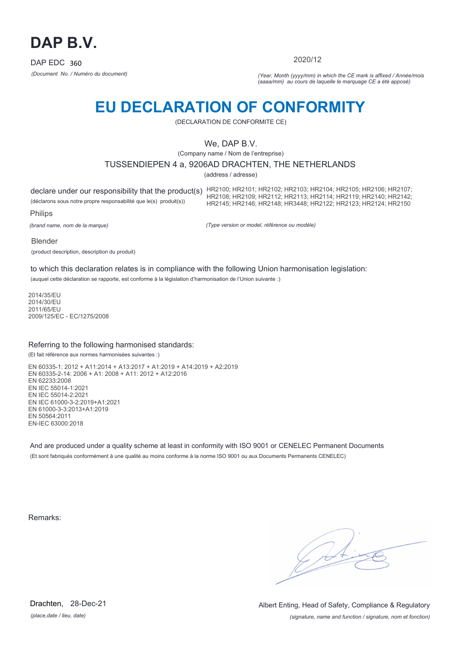

2020/12

*(Document No. / Numéro du document) (Year, Month (yyyy/mm) in which the CE mark is affixed / Année/mois (aaaa/mm) au cours de laquelle le marquage CE a été apposé)*

# **EU DECLARATION OF CONFORMITY**

(DECLARATION DE CONFORMITE CE)

## We, DAP B.V.

(Company name / Nom de l'entreprise)

## TUSSENDIEPEN 4 a, 9206AD DRACHTEN, THE NETHERLANDS

(address / adresse)

declare under our responsibility that the product(s) HR2100; HR2101; HR2102; HR2103; HR2104; HR2105; HR2106; HR2107;<br>HR2110 HR2110 HR2110 HR2110 (déclarons sous notre propre responsabilité que le(s) produit(s)) Philips HR2108; HR2109; HR2112; HR2113; HR2114; HR2119; HR2140; HR2142; HR2145; HR2146; HR2148; HR3448; HR2122; HR2123; HR2124; HR2150

*(brand name, nom de la marque)*

*(Type version or model, référence ou modèle)*

Blender

(product description, description du produit)

to which this declaration relates is in compliance with the following Union harmonisation legislation:

(auquel cette déclaration se rapporte, est conforme à la législation d'harmonisation de l'Union suivante :)

2014/35/EU 2014/30/EU 2011/65/EU 2009/125/EC - EC/1275/2008

### Referring to the following harmonised standards:

(Et fait référence aux normes harmonisées suivantes :)

EN 60335-1: 2012 + A11:2014 + A13:2017 + A1:2019 + A14:2019 + A2:2019 EN 60335-2-14: 2006 + A1: 2008 + A11: 2012 + A12:2016 EN 62233:2008 EN IEC 55014-1:2021 EN IEC 55014-2:2021 EN IEC 61000-3-2:2019+A1:2021 EN 61000-3-3:2013+A1:2019 EN 50564:2011 EN-IEC 63000:2018

And are produced under a quality scheme at least in conformity with ISO 9001 or CENELEC Permanent Documents (Et sont fabriqués conformément à une qualité au moins conforme à la norme ISO 9001 ou aux Documents Permanents CENELEC)

Remarks:

*(place,date / lieu, date)* Drachten, 28-Dec-21

*(signature, name and function / signature, nom et fonction)* Albert Enting, Head of Safety, Compliance & Regulatory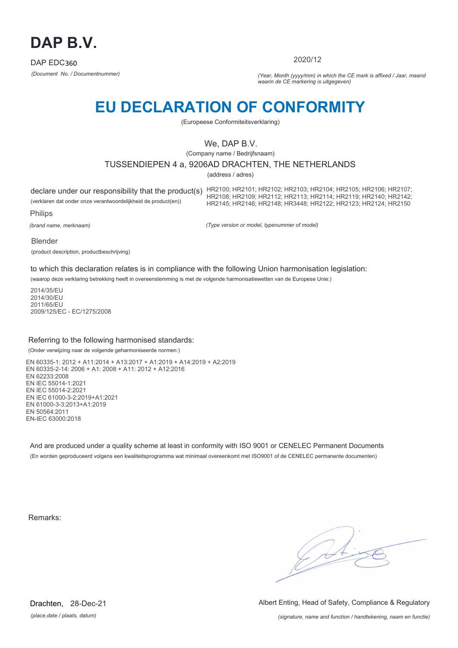

2020/12

*(Document No. / Documentnummer) (Year, Month (yyyy/mm) in which the CE mark is affixed / Jaar, maand waarin de CE markering is uitgegeven)*

# **EU DECLARATION OF CONFORMITY**

(Europeese Conformiteitsverklaring)

## We, DAP B.V.

(Company name / Bedrijfsnaam)

## TUSSENDIEPEN 4 a, 9206AD DRACHTEN, THE NETHERLANDS

(address / adres)

declare under our responsibility that the product(s) HR2100; HR2101; HR2102; HR2103; HR2104; HR2105; HR2106; HR2107;<br>HR2110 HR2110 HR2110 HR2110 (verklaren dat onder onze verantwoordelijkheid de product(en)) Philips HR2108; HR2109; HR2112; HR2113; HR2114; HR2119; HR2140; HR2142; HR2145; HR2146; HR2148; HR3448; HR2122; HR2123; HR2124; HR2150

*(brand name, merknaam)*

*(Type version or model, typenummer of model)*

Blender

(product description, productbeschrijving)

to which this declaration relates is in compliance with the following Union harmonisation legislation:

(waarop deze verklaring betrekking heeft in overeenstemming is met de volgende harmonisatiewetten van de Europese Unie:)

2014/35/EU 2014/30/EU 2011/65/EU 2009/125/EC - EC/1275/2008

### Referring to the following harmonised standards:

(Onder verwijzing naar de volgende geharmoniseerde normen:)

EN 60335-1: 2012 + A11:2014 + A13:2017 + A1:2019 + A14:2019 + A2:2019 EN 60335-2-14: 2006 + A1: 2008 + A11: 2012 + A12:2016 EN 62233:2008 EN IEC 55014-1:2021 EN IEC 55014-2:2021 EN IEC 61000-3-2:2019+A1:2021 EN 61000-3-3:2013+A1:2019 EN 50564:2011 EN-IEC 63000:2018

And are produced under a quality scheme at least in conformity with ISO 9001 or CENELEC Permanent Documents (En worden geproduceerd volgens een kwaliteitsprogramma wat minimaal overeenkomt met ISO9001 of de CENELEC permanente documenten)

Remarks:

 $\sqrt{2}$ 

*(place,date / plaats, datum)* Drachten, 28-Dec-21 Albert Enting, Head of Safety, Compliance & Regulatory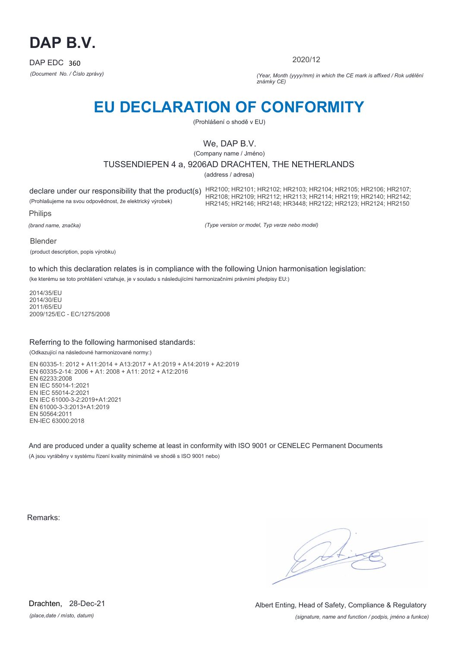

2020/12

*(Document No. / Číslo zprávy) (Year, Month (yyyy/mm) in which the CE mark is affixed / Rok udělění známky CE)*

# **EU DECLARATION OF CONFORMITY**

(Prohlášení o shodě v EU)

## We, DAP B.V.

(Company name / Jméno)

## TUSSENDIEPEN 4 a, 9206AD DRACHTEN, THE NETHERLANDS

(address / adresa)

(Prohlašujeme na svou odpovědnost, že elektrický výrobek)

declare under our responsibility that the product(s) HR2100; HR2101; HR2102; HR2103; HR2104; HR2105; HR2106; HR2107;<br>HR2110 HR2110 HR2110 HR2110 HR2108; HR2109; HR2112; HR2113; HR2114; HR2119; HR2140; HR2142; HR2145; HR2146; HR2148; HR3448; HR2122; HR2123; HR2124; HR2150

Philips

*(brand name, značka)*

*(Type version or model, Typ verze nebo model)*

Blender

(product description, popis výrobku)

to which this declaration relates is in compliance with the following Union harmonisation legislation:

(ke kterému se toto prohlášení vztahuje, je v souladu s následujícími harmonizačními právními předpisy EU:)

2014/35/EU 2014/30/EU 2011/65/EU 2009/125/EC - EC/1275/2008

### Referring to the following harmonised standards:

(Odkazující na následovné harmonizované normy:)

EN 60335-1: 2012 + A11:2014 + A13:2017 + A1:2019 + A14:2019 + A2:2019 EN 60335-2-14: 2006 + A1: 2008 + A11: 2012 + A12:2016 EN 62233:2008 EN IEC 55014-1:2021 EN IEC 55014-2:2021 EN IEC 61000-3-2:2019+A1:2021 EN 61000-3-3:2013+A1:2019 EN 50564:2011 EN-IEC 63000:2018

And are produced under a quality scheme at least in conformity with ISO 9001 or CENELEC Permanent Documents (A jsou vyráběny v systému řízení kvality minimálně ve shodě s ISO 9001 nebo)

Remarks:

*(place,date / místo, datum)* Drachten, 28-Dec-21

*(signature, name and function / podpis, jméno a funkce)* Albert Enting, Head of Safety, Compliance & Regulatory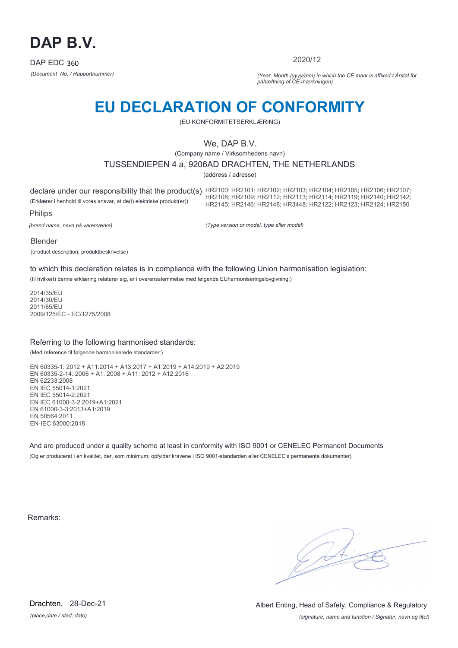

2020/12

*(Document No. / Rapportnummer) (Year, Month (yyyy/mm) in which the CE mark is affixed / Årstal for påhæftning af CE-mærkningen)*

# **EU DECLARATION OF CONFORMITY**

(EU KONFORMITETSERKLÆRING)

## We, DAP B.V.

(Company name / Virksomhedens navn)

### TUSSENDIEPEN 4 a, 9206AD DRACHTEN, THE NETHERLANDS

(address / adresse)

declare under our responsibility that the product(s) HR2100; HR2101; HR2102; HR2103; HR2104; HR2105; HR2106; HR2107; (Erklærer i henhold til vores ansvar, at de(t) elektriske produkt(er)) Philips HR2108; HR2109; HR2112; HR2113; HR2114; HR2119; HR2140; HR2142; HR2145; HR2146; HR2148; HR3448; HR2122; HR2123; HR2124; HR2150

*(brand name, navn på varemærke)*

*(Type version or model, type eller model)*

Blender

(product description, produktbeskrivelse)

to which this declaration relates is in compliance with the following Union harmonisation legislation:

(til hvilke(t) denne erklæring relaterer sig, er i overensstemmelse med følgende EUharmoniseringslovgivning:)

2014/35/EU 2014/30/EU 2011/65/EU 2009/125/EC - EC/1275/2008

### Referring to the following harmonised standards:

(Med reference til følgende harmoniserede standarder:)

EN 60335-1: 2012 + A11:2014 + A13:2017 + A1:2019 + A14:2019 + A2:2019 EN 60335-2-14: 2006 + A1: 2008 + A11: 2012 + A12:2016 EN 62233:2008 EN IEC 55014-1:2021 EN IEC 55014-2:2021 EN IEC 61000-3-2:2019+A1:2021 EN 61000-3-3:2013+A1:2019 EN 50564:2011 EN-IEC 63000:2018

And are produced under a quality scheme at least in conformity with ISO 9001 or CENELEC Permanent Documents (Og er produceret i en kvalitet, der, som minimum, opfylder kravene i ISO 9001-standarden eller CENELEC's permanente dokumenter)

Remarks:

*(place,date / sted, dato)* Drachten, 28-Dec-21

*(signature, name and function / Signatur, navn og titel)* Albert Enting, Head of Safety, Compliance & Regulatory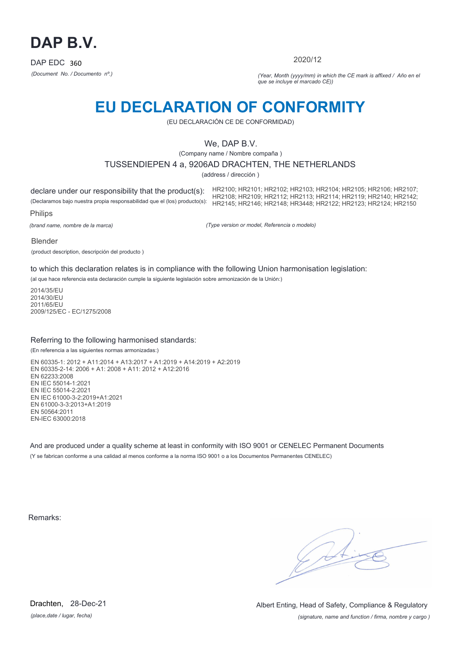

2020/12

*(Document No. / Documento nº.) (Year, Month (yyyy/mm) in which the CE mark is affixed / Año en el que se incluye el marcado CE))*

# **EU DECLARATION OF CONFORMITY**

(EU DECLARACIÓN CE DE CONFORMIDAD)

## We, DAP B.V.

(Company name / Nombre compaña )

TUSSENDIEPEN 4 a, 9206AD DRACHTEN, THE NETHERLANDS

(address / dirección )

declare under our responsibility that the product(s): (Declaramos bajo nuestra propia responsabilidad que el (los) producto(s): HR2108; HR2109; HR2112; HR2113; HR2114; HR2119; HR2140; HR2142; Philips HR2100; HR2101; HR2102; HR2103; HR2104; HR2105; HR2106; HR2107; HR2145; HR2146; HR2148; HR3448; HR2122; HR2123; HR2124; HR2150

*(brand name, nombre de la marca)*

*(Type version or model, Referencia o modelo)*

Blender

(product description, descripción del producto )

to which this declaration relates is in compliance with the following Union harmonisation legislation:

(al que hace referencia esta declaración cumple la siguiente legislación sobre armonización de la Unión:)

2014/35/EU 2014/30/EU 2011/65/EU 2009/125/EC - EC/1275/2008

### Referring to the following harmonised standards:

(En referencia a las siguientes normas armonizadas:)

EN 60335-1: 2012 + A11:2014 + A13:2017 + A1:2019 + A14:2019 + A2:2019 EN 60335-2-14: 2006 + A1: 2008 + A11: 2012 + A12:2016 EN 62233:2008 EN IEC 55014-1:2021 EN IEC 55014-2:2021 EN IEC 61000-3-2:2019+A1:2021 EN 61000-3-3:2013+A1:2019 EN 50564:2011 EN-IEC 63000:2018

And are produced under a quality scheme at least in conformity with ISO 9001 or CENELEC Permanent Documents (Y se fabrican conforme a una calidad al menos conforme a la norma ISO 9001 o a los Documentos Permanentes CENELEC)

Remarks:

*(place,date / lugar, fecha)* Drachten, 28-Dec-21

*(signature, name and function / firma, nombre y cargo )* Albert Enting, Head of Safety, Compliance & Regulatory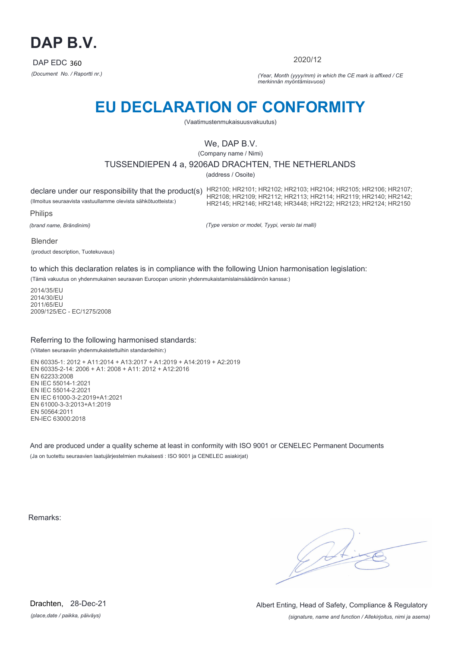

2020/12

*(Document No. / Raportti nr.) (Year, Month (yyyy/mm) in which the CE mark is affixed / CE merkinnän myöntämisvuosi)*

# **EU DECLARATION OF CONFORMITY**

(Vaatimustenmukaisuusvakuutus)

## We, DAP B.V.

(Company name / Nimi)

## TUSSENDIEPEN 4 a, 9206AD DRACHTEN, THE NETHERLANDS

(address / Osoite)

(Ilmoitus seuraavista vastuullamme olevista sähkötuotteista:)

declare under our responsibility that the product(s) HR2100; HR2101; HR2102; HR2103; HR2104; HR2105; HR2106; HR2107;<br>HR2110 HR2110 HR2110 HR2110 HR2108; HR2109; HR2112; HR2113; HR2114; HR2119; HR2140; HR2142; HR2145; HR2146; HR2148; HR3448; HR2122; HR2123; HR2124; HR2150

Philips

*(brand name, Brändinimi)*

*(Type version or model, Tyypi, versio tai malli)*

Blender

(product description, Tuotekuvaus)

to which this declaration relates is in compliance with the following Union harmonisation legislation:

(Tämä vakuutus on yhdenmukainen seuraavan Euroopan unionin yhdenmukaistamislainsäädännön kanssa:)

2014/35/EU 2014/30/EU 2011/65/EU 2009/125/EC - EC/1275/2008

### Referring to the following harmonised standards:

(Viitaten seuraaviin yhdenmukaistettuihin standardeihin:)

EN 60335-1: 2012 + A11:2014 + A13:2017 + A1:2019 + A14:2019 + A2:2019 EN 60335-2-14: 2006 + A1: 2008 + A11: 2012 + A12:2016 EN 62233:2008 EN IEC 55014-1:2021 EN IEC 55014-2:2021 EN IEC 61000-3-2:2019+A1:2021 EN 61000-3-3:2013+A1:2019 EN 50564:2011 EN-IEC 63000:2018

And are produced under a quality scheme at least in conformity with ISO 9001 or CENELEC Permanent Documents (Ja on tuotettu seuraavien laatujärjestelmien mukaisesti : ISO 9001 ja CENELEC asiakirjat)

Remarks:

*(place,date / paikka, päiväys)* Drachten, 28-Dec-21

*(signature, name and function / Allekirjoitus, nimi ja asema)* Albert Enting, Head of Safety, Compliance & Regulatory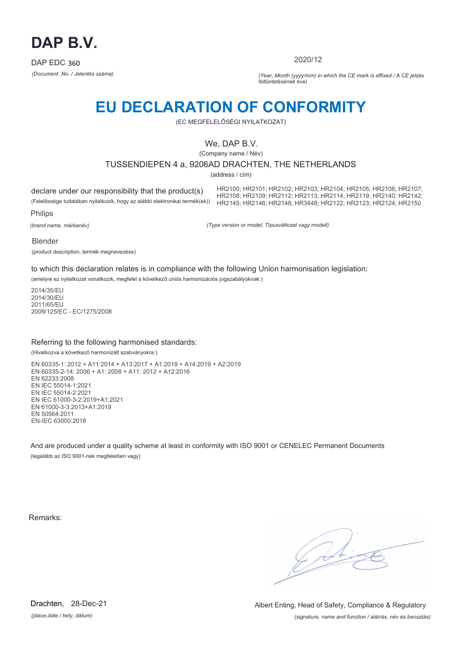

2020/12

*(Document No. / Jelentés száma) (Year, Month (yyyy/mm) in which the CE mark is affixed / A CE jelzés feltüntetésének éve)*

## **EU DECLARATION OF CONFORMITY**

(EC MEGFELELŐSÉGI NYILATKOZAT)

## We, DAP B.V.

(Company name / Név)

### TUSSENDIEPEN 4 a, 9206AD DRACHTEN, THE NETHERLANDS

(address / cím)

declare under our responsibility that the product(s) (Felelőssége tudatában nyilatkozik, hogy az alábbi elektronikai termék(ek))

HR2100; HR2101; HR2102; HR2103; HR2104; HR2105; HR2106; HR2107; HR2108; HR2109; HR2112; HR2113; HR2114; HR2119; HR2140; HR2142; HR2145; HR2146; HR2148; HR3448; HR2122; HR2123; HR2124; HR2150

Philips

*(brand name, márkanév)*

*(Type version or model, Típusváltozat vagy modell)*

Blender

(product description, termék megnevezése)

to which this declaration relates is in compliance with the following Union harmonisation legislation:

(amelyre ez nyilatkozat vonatkozik, megfelel a következő uniós harmonizációs jogszabályoknak:)

2014/35/EU 2014/30/EU 2011/65/EU 2009/125/EC - EC/1275/2008

### Referring to the following harmonised standards:

(Hivatkozva a következő harmonizált szabványokra:)

EN 60335-1: 2012 + A11:2014 + A13:2017 + A1:2019 + A14:2019 + A2:2019 EN 60335-2-14: 2006 + A1: 2008 + A11: 2012 + A12:2016 EN 62233:2008 EN IEC 55014-1:2021 EN IEC 55014-2:2021 EN IEC 61000-3-2:2019+A1:2021 EN 61000-3-3:2013+A1:2019 EN 50564:2011 EN-IEC 63000:2018

And are produced under a quality scheme at least in conformity with ISO 9001 or CENELEC Permanent Documents (legalább az ISO 9001-nek megfelelően vagy)

Remarks:

 $\sqrt{1}$ 

*(place,date / hely, dátum)* Drachten, 28-Dec-21

*(signature, name and function / aláírás, név és beosztás)* Albert Enting, Head of Safety, Compliance & Regulatory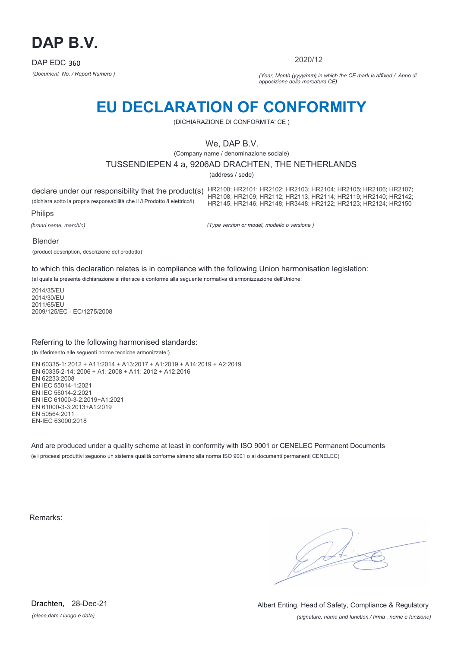

2020/12

*(Document No. / Report Numero ) (Year, Month (yyyy/mm) in which the CE mark is affixed / Anno di apposizione della marcatura CE)*

## **EU DECLARATION OF CONFORMITY**

(DICHIARAZIONE DI CONFORMITA' CE )

## We, DAP B.V.

(Company name / denominazione sociale)

### TUSSENDIEPEN 4 a, 9206AD DRACHTEN, THE NETHERLANDS

(address / sede)

declare under our responsibility that the product(s) HR2100; HR2101; HR2102; HR2103; HR2104; HR2105; HR2106; HR2107;<br>HR2110 HR2110 HR2110 HR2110 (dichiara sotto la propria responsabilità che il /i Prodotto /i elettrico/i) Philips HR2108; HR2109; HR2112; HR2113; HR2114; HR2119; HR2140; HR2142; HR2145; HR2146; HR2148; HR3448; HR2122; HR2123; HR2124; HR2150

*(brand name, marchio)*

*(Type version or model, modello o versione )*

#### Blender

(product description, descrizione del prodotto)

to which this declaration relates is in compliance with the following Union harmonisation legislation:

(al quale la presente dichiarazione si riferisce è conforme alla seguente normativa di armonizzazione dell'Unione:

2014/35/EU 2014/30/EU 2011/65/EU 2009/125/EC - EC/1275/2008

### Referring to the following harmonised standards:

(In riferimento alle seguenti norme tecniche armonizzate:)

EN 60335-1: 2012 + A11:2014 + A13:2017 + A1:2019 + A14:2019 + A2:2019 EN 60335-2-14: 2006 + A1: 2008 + A11: 2012 + A12:2016 EN 62233:2008 EN IEC 55014-1:2021 EN IEC 55014-2:2021 EN IEC 61000-3-2:2019+A1:2021 EN 61000-3-3:2013+A1:2019 EN 50564:2011 EN-IEC 63000:2018

And are produced under a quality scheme at least in conformity with ISO 9001 or CENELEC Permanent Documents (e i processi produttivi seguono un sistema qualità conforme almeno alla norma ISO 9001 o ai documenti permanenti CENELEC)

Remarks:

*(place,date / luogo e data)* Drachten, 28-Dec-21

*(signature, name and function / firma , nome e funzione)* Albert Enting, Head of Safety, Compliance & Regulatory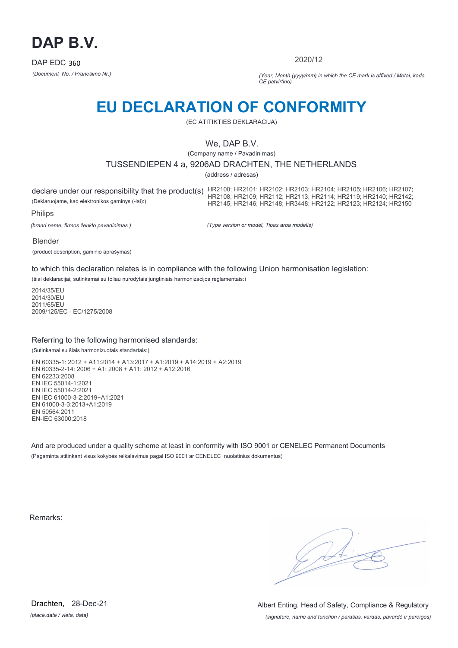

2020/12

*(Document No. / Pranešimo Nr.) (Year, Month (yyyy/mm) in which the CE mark is affixed / Metai, kada CE patvirtino)*

## **EU DECLARATION OF CONFORMITY**

(EC ATITIKTIES DEKLARACIJA)

## We, DAP B.V.

(Company name / Pavadinimas)

## TUSSENDIEPEN 4 a, 9206AD DRACHTEN, THE NETHERLANDS

(address / adresas)

declare under our responsibility that the product(s) HR2100; HR2101; HR2102; HR2103; HR2104; HR2105; HR2106; HR2107;<br>HR2110 HR2110 HR2110 HR2110 (Deklaruojame, kad elektronikos gaminys (-iai):) HR2108; HR2109; HR2112; HR2113; HR2114; HR2119; HR2140; HR2142; HR2145; HR2146; HR2148; HR3448; HR2122; HR2123; HR2124; HR2150

Philips

*(brand name, firmos ženklo pavadinimas )*

*(Type version or model, Tipas arba modelis)*

Blender

(product description, gaminio aprašymas)

to which this declaration relates is in compliance with the following Union harmonisation legislation:

(šiai deklaracijai, sutinkamai su toliau nurodytais jungtiniais harmonizacijos reglamentais:)

2014/35/EU 2014/30/EU 2011/65/EU 2009/125/EC - EC/1275/2008

### Referring to the following harmonised standards:

(Sutinkamai su šiais harmonizuotais standartais:)

EN 60335-1: 2012 + A11:2014 + A13:2017 + A1:2019 + A14:2019 + A2:2019 EN 60335-2-14: 2006 + A1: 2008 + A11: 2012 + A12:2016 EN 62233:2008 EN IEC 55014-1:2021 EN IEC 55014-2:2021 EN IEC 61000-3-2:2019+A1:2021 EN 61000-3-3:2013+A1:2019 EN 50564:2011 EN-IEC 63000:2018

And are produced under a quality scheme at least in conformity with ISO 9001 or CENELEC Permanent Documents (Pagaminta atitinkant visus kokybės reikalavimus pagal ISO 9001 ar CENELEC nuolatinius dokumentus)

Remarks:

*(place,date / vieta, data)* Drachten, 28-Dec-21

*(signature, name and function / parašas, vardas, pavardė ir pareigos)* Albert Enting, Head of Safety, Compliance & Regulatory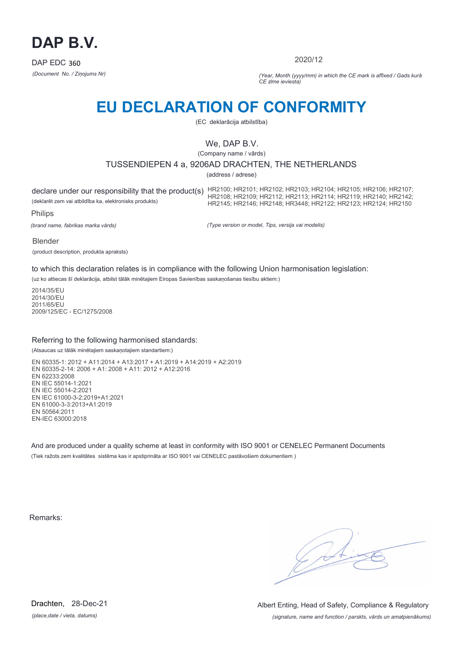

2020/12

*(Document No. / Ziņojums Nr) (Year, Month (yyyy/mm) in which the CE mark is affixed / Gads kurā CE zīme ieviesta)*

# **EU DECLARATION OF CONFORMITY**

(EC deklarācija atbilstība)

## We, DAP B.V.

(Company name / vārds)

## TUSSENDIEPEN 4 a, 9206AD DRACHTEN, THE NETHERLANDS

(address / adrese)

declare under our responsibility that the product(s) HR2100; HR2101; HR2102; HR2103; HR2104; HR2105; HR2106; HR2107;<br>HR2110 HR2110 HR2110 HR2110 (deklarēt zem vai atbildība ka, elektronisks produkts) HR2108; HR2109; HR2112; HR2113; HR2114; HR2119; HR2140; HR2142; HR2145; HR2146; HR2148; HR3448; HR2122; HR2123; HR2124; HR2150

Philips

*(brand name, fabrikas marka vārds)*

*(Type version or model, Tips, versija vai modelis)*

Blender

(product description, produkta apraksts)

to which this declaration relates is in compliance with the following Union harmonisation legislation:

(uz ko attiecas šī deklarācija, atbilst tālāk minētajiem Eiropas Savienības saskaņošanas tiesību aktiem:)

2014/35/EU 2014/30/EU 2011/65/EU 2009/125/EC - EC/1275/2008

### Referring to the following harmonised standards:

(Atsaucas uz tālāk minētajiem saskaņotajiem standartiem:)

EN 60335-1: 2012 + A11:2014 + A13:2017 + A1:2019 + A14:2019 + A2:2019 EN 60335-2-14: 2006 + A1: 2008 + A11: 2012 + A12:2016 EN 62233:2008 EN IEC 55014-1:2021 EN IEC 55014-2:2021 EN IEC 61000-3-2:2019+A1:2021 EN 61000-3-3:2013+A1:2019 EN 50564:2011 EN-IEC 63000:2018

And are produced under a quality scheme at least in conformity with ISO 9001 or CENELEC Permanent Documents (Tiek ražots zem kvalitātes sistēma kas ir apstiprināta ar ISO 9001 vai CENELEC pastāvošiem dokumentiem )

Remarks:

*(place,date / vieta, datums)* Drachten, 28-Dec-21

*(signature, name and function / parskts, vārds un amatpienākums)* Albert Enting, Head of Safety, Compliance & Regulatory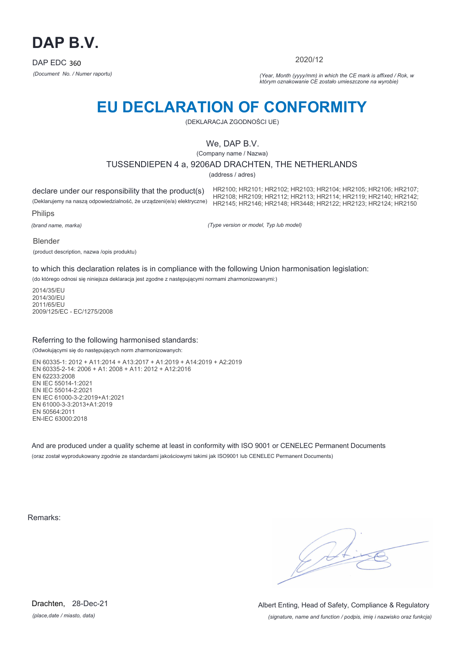

2020/12

*(Document No. / Numer raportu) (Year, Month (yyyy/mm) in which the CE mark is affixed / Rok, w którym oznakowanie CE zostało umieszczone na wyrobie)*

# **EU DECLARATION OF CONFORMITY**

(DEKLARACJA ZGODNOŚCI UE)

## We, DAP B.V.

(Company name / Nazwa)

## TUSSENDIEPEN 4 a, 9206AD DRACHTEN, THE NETHERLANDS

(address / adres)

declare under our responsibility that the product(s) (Deklarujemy na naszą odpowiedzialność, że urządzeni(e/a) elektryczne)

HR2100; HR2101; HR2102; HR2103; HR2104; HR2105; HR2106; HR2107; HR2108; HR2109; HR2112; HR2113; HR2114; HR2119; HR2140; HR2142; HR2145; HR2146; HR2148; HR3448; HR2122; HR2123; HR2124; HR2150

Philips

*(brand name, marka)*

*(Type version or model, Typ lub model)*

Blender

(product description, nazwa /opis produktu)

to which this declaration relates is in compliance with the following Union harmonisation legislation:

(do którego odnosi się niniejsza deklaracja jest zgodne z następującymi normami zharmonizowanymi:)

2014/35/EU 2014/30/EU 2011/65/EU 2009/125/EC - EC/1275/2008

### Referring to the following harmonised standards:

(Odwołującymi się do następujących norm zharmonizowanych:

EN 60335-1: 2012 + A11:2014 + A13:2017 + A1:2019 + A14:2019 + A2:2019 EN 60335-2-14: 2006 + A1: 2008 + A11: 2012 + A12:2016 EN 62233:2008 EN IEC 55014-1:2021 EN IEC 55014-2:2021 EN IEC 61000-3-2:2019+A1:2021 EN 61000-3-3:2013+A1:2019 EN 50564:2011 EN-IEC 63000:2018

And are produced under a quality scheme at least in conformity with ISO 9001 or CENELEC Permanent Documents (oraz został wyprodukowany zgodnie ze standardami jakościowymi takimi jak ISO9001 lub CENELEC Permanent Documents)

Remarks:

*(place,date / miasto, data)* Drachten, 28-Dec-21

*(signature, name and function / podpis, imię i nazwisko oraz funkcja)* Albert Enting, Head of Safety, Compliance & Regulatory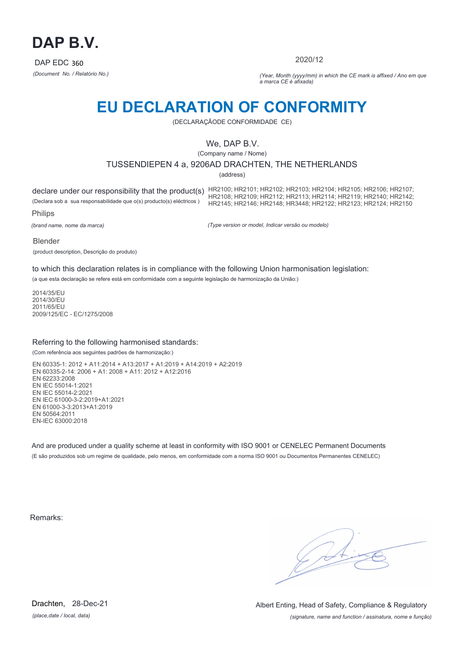

2020/12

*(Document No. / Relatório No.) (Year, Month (yyyy/mm) in which the CE mark is affixed / Ano em que a marca CE é afixada)*

## **EU DECLARATION OF CONFORMITY**

(DECLARAÇÃODE CONFORMIDADE CE)

## We, DAP B.V.

(Company name / Nome)

## TUSSENDIEPEN 4 a, 9206AD DRACHTEN, THE NETHERLANDS

(address)

(Declara sob a sua responsabilidade que o(s) producto(s) eléctricos )

declare under our responsibility that the product(s) HR2100; HR2101; HR2102; HR2103; HR2104; HR2105; HR2106; HR2107; HR2108; HR2109; HR2112; HR2113; HR2114; HR2119; HR2140; HR2142; HR2145; HR2146; HR2148; HR3448; HR2122; HR2123; HR2124; HR2150

Philips

*(brand name, nome da marca)*

*(Type version or model, Indicar versão ou modelo)*

Blender

(product description, Descrição do produto)

to which this declaration relates is in compliance with the following Union harmonisation legislation:

(a que esta declaração se refere está em conformidade com a seguinte legislação de harmonização da União:)

2014/35/EU 2014/30/EU 2011/65/EU 2009/125/EC - EC/1275/2008

### Referring to the following harmonised standards:

(Com referência aos seguintes padrões de harmonização:)

EN 60335-1: 2012 + A11:2014 + A13:2017 + A1:2019 + A14:2019 + A2:2019 EN 60335-2-14: 2006 + A1: 2008 + A11: 2012 + A12:2016 EN 62233:2008 EN IEC 55014-1:2021 EN IEC 55014-2:2021 EN IEC 61000-3-2:2019+A1:2021 EN 61000-3-3:2013+A1:2019 EN 50564:2011 EN-IEC 63000:2018

And are produced under a quality scheme at least in conformity with ISO 9001 or CENELEC Permanent Documents (E são produzidos sob um regime de qualidade, pelo menos, em conformidade com a norma ISO 9001 ou Documentos Permanentes CENELEC)

Remarks:

*(place,date / local, data)* Drachten, 28-Dec-21

*(signature, name and function / assinatura, nome e função)* Albert Enting, Head of Safety, Compliance & Regulatory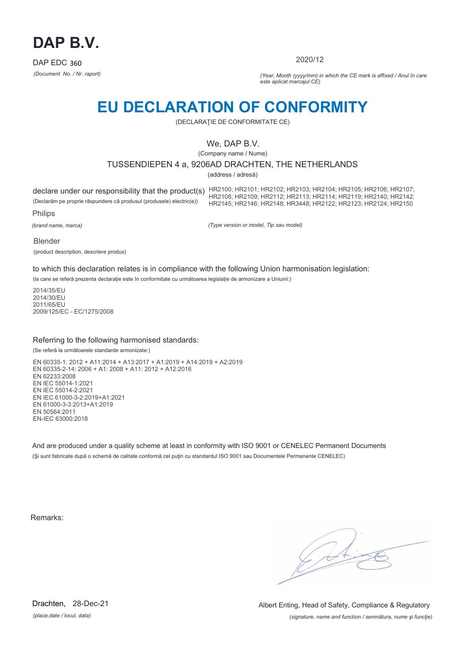

2020/12

*(Document No. / Nr. raport) (Year, Month (yyyy/mm) in which the CE mark is affixed / Anul în care este aplicat marcajul CE)*

## **EU DECLARATION OF CONFORMITY**

(DECLARAŢIE DE CONFORMITATE CE)

## We, DAP B.V.

(Company name / Nume)

## TUSSENDIEPEN 4 a, 9206AD DRACHTEN, THE NETHERLANDS

(address / adresă)

(Declarăm pe proprie răspundere că produsul (produsele) electric(e))

declare under our responsibility that the product(s) HR2100; HR2101; HR2102; HR2103; HR2104; HR2105; HR2106; HR2107;<br>HR2110 HR2110 HR2110 HR2110 HR2108; HR2109; HR2112; HR2113; HR2114; HR2119; HR2140; HR2142; HR2145; HR2146; HR2148; HR3448; HR2122; HR2123; HR2124; HR2150

Philips

*(brand name, marca)*

*(Type version or model, Tip sau model)*

#### Blender

(product description, descriere produs)

to which this declaration relates is in compliance with the following Union harmonisation legislation:

(la care se referă prezenta declarație este în conformitate cu următoarea legislație de armonizare a Uniunii:)

2014/35/EU 2014/30/EU 2011/65/EU 2009/125/EC - EC/1275/2008

### Referring to the following harmonised standards:

(Se referă la următoarele standarde armonizate:)

EN 60335-1: 2012 + A11:2014 + A13:2017 + A1:2019 + A14:2019 + A2:2019 EN 60335-2-14: 2006 + A1: 2008 + A11: 2012 + A12:2016 EN 62233:2008 EN IEC 55014-1:2021 EN IEC 55014-2:2021 EN IEC 61000-3-2:2019+A1:2021 EN 61000-3-3:2013+A1:2019 EN 50564:2011 EN-IEC 63000:2018

And are produced under a quality scheme at least in conformity with ISO 9001 or CENELEC Permanent Documents (Şi sunt fabricate după o schemă de calitate conformă cel puţin cu standardul ISO 9001 sau Documentele Permanente CENELEC)

Remarks:

*(place,date / locul, data)* Drachten, 28-Dec-21

*(signature, name and function / semnătura, nume şi funcţie)* Albert Enting, Head of Safety, Compliance & Regulatory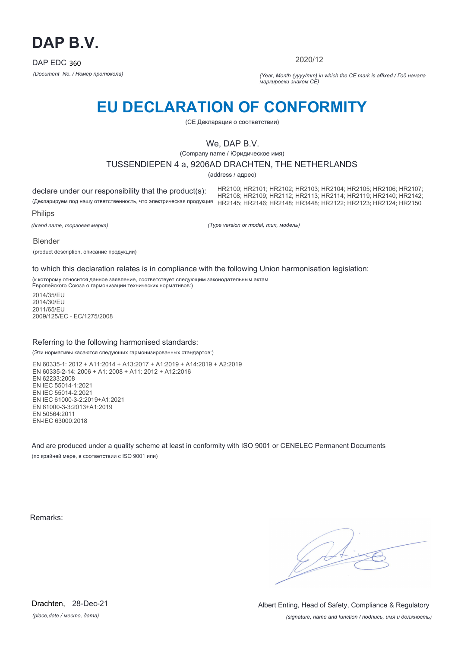

2020/12

*(Document No. / Номер протокола) (Year, Month (yyyy/mm) in which the CE mark is affixed / Год начала маркировки знаком CE)*

# **EU DECLARATION OF CONFORMITY**

(CE Декларация о соответствии)

## We, DAP B.V.

(Company name / Юридическое имя)

### TUSSENDIEPEN 4 a, 9206AD DRACHTEN, THE NETHERLANDS

(address / адрес)

declare under our responsibility that the product(s): (Декларируем под нашу ответственность, что электрическая продукция HR2145; HR2146; HR2148; HR3448; HR2122; HR2123; HR2124; HR2150 HR2100; HR2101; HR2102; HR2103; HR2104; HR2105; HR2106; HR2107; HR2108; HR2109; HR2112; HR2113; HR2114; HR2119; HR2140; HR2142;

Philips

*(brand name, торговая марка)*

*(Type version or model, тип, модель)*

Blender

(product description, описание продукции)

to which this declaration relates is in compliance with the following Union harmonisation legislation:

(к которому относится данное заявление, соответствует следующим законодательным актам Европейского Союза о гармонизации технических нормативов:)

2014/35/EU 2014/30/EU 2011/65/EU 2009/125/EC - EC/1275/2008

### Referring to the following harmonised standards:

(Эти нормативы касаются следующих гармонизированных стандартов:)

EN 60335-1: 2012 + A11:2014 + A13:2017 + A1:2019 + A14:2019 + A2:2019 EN 60335-2-14: 2006 + A1: 2008 + A11: 2012 + A12:2016 EN 62233:2008 EN IEC 55014-1:2021 EN IEC 55014-2:2021 EN IEC 61000-3-2:2019+A1:2021 EN 61000-3-3:2013+A1:2019 EN 50564:2011 EN-IEC 63000:2018

And are produced under a quality scheme at least in conformity with ISO 9001 or CENELEC Permanent Documents (по крайней мере, в соответствии с ISO 9001 или)

Remarks:

*(place,date / место, дата)* Drachten, 28-Dec-21

*(signature, name and function / подпись, имя и должность)* Albert Enting, Head of Safety, Compliance & Regulatory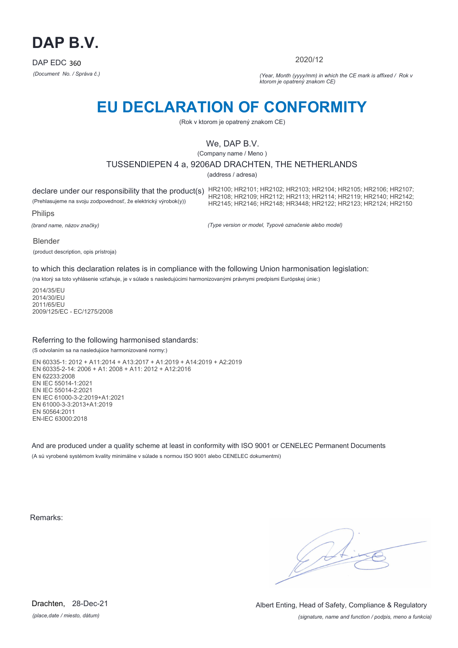

2020/12

*(Document No. / Správa č.) (Year, Month (yyyy/mm) in which the CE mark is affixed / Rok v ktorom je opatrený znakom CE)*

## **EU DECLARATION OF CONFORMITY**

(Rok v ktorom je opatrený znakom CE)

## We, DAP B.V.

(Company name / Meno )

## TUSSENDIEPEN 4 a, 9206AD DRACHTEN, THE NETHERLANDS

(address / adresa)

(Prehlasujeme na svoju zodpovednosť, že elektrický výrobok(y))

declare under our responsibility that the product(s) HR2100; HR2101; HR2102; HR2103; HR2104; HR2105; HR2106; HR2107; HR2108; HR2109; HR2112; HR2113; HR2114; HR2119; HR2140; HR2142; HR2145; HR2146; HR2148; HR3448; HR2122; HR2123; HR2124; HR2150

Philips

*(brand name, názov značky)*

*(Type version or model, Typové označenie alebo model)*

#### Blender

(product description, opis prístroja)

to which this declaration relates is in compliance with the following Union harmonisation legislation:

(na ktorý sa toto vyhlásenie vzťahuje, je v súlade s nasledujúcimi harmonizovanými právnymi predpismi Európskej únie:)

2014/35/EU 2014/30/EU 2011/65/EU 2009/125/EC - EC/1275/2008

### Referring to the following harmonised standards:

(S odvolaním sa na nasledujúce harmonizované normy:)

EN 60335-1: 2012 + A11:2014 + A13:2017 + A1:2019 + A14:2019 + A2:2019 EN 60335-2-14: 2006 + A1: 2008 + A11: 2012 + A12:2016 EN 62233:2008 EN IEC 55014-1:2021 EN IEC 55014-2:2021 EN IEC 61000-3-2:2019+A1:2021 EN 61000-3-3:2013+A1:2019 EN 50564:2011 EN-IEC 63000:2018

And are produced under a quality scheme at least in conformity with ISO 9001 or CENELEC Permanent Documents (A sú vyrobené systémom kvality minimálne v súlade s normou ISO 9001 alebo CENELEC dokumentmi)

Remarks:

*(place,date / miesto, dátum)* Drachten, 28-Dec-21

*(signature, name and function / podpis, meno a funkcia)* Albert Enting, Head of Safety, Compliance & Regulatory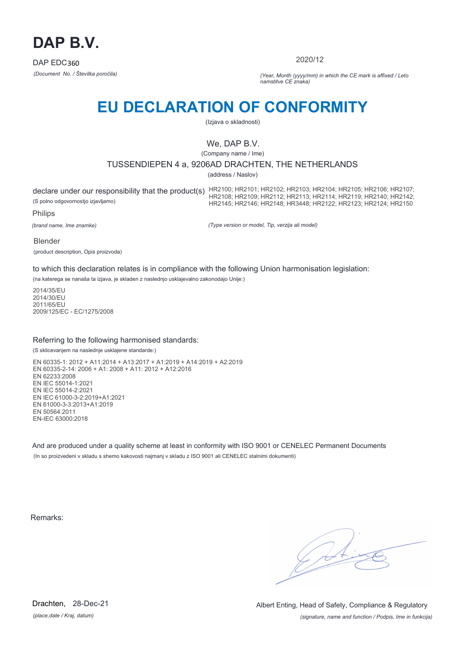

2020/12

*(Document No. / Številka poročila) (Year, Month (yyyy/mm) in which the CE mark is affixed / Leto namstitve CE znaka)*

# **EU DECLARATION OF CONFORMITY**

(Izjava o skladnosti)

## We, DAP B.V.

(Company name / Ime)

## TUSSENDIEPEN 4 a, 9206AD DRACHTEN, THE NETHERLANDS

(address / Naslov)

(S polno odgovornostjo izjavljamo)

declare under our responsibility that the product(s) HR2100; HR2101; HR2102; HR2103; HR2104; HR2105; HR2106; HR2107;<br>HR2110 HR2110 HR2110 HR2110 HR2108; HR2109; HR2112; HR2113; HR2114; HR2119; HR2140; HR2142; HR2145; HR2146; HR2148; HR3448; HR2122; HR2123; HR2124; HR2150

Philips

*(brand name, Ime znamke)*

*(Type version or model, Tip, verzija ali model)*

#### Blender

(product description, Opis proizvoda)

to which this declaration relates is in compliance with the following Union harmonisation legislation:

(na katerega se nanaša ta izjava, je skladen z naslednjo usklajevalno zakonodajo Unije:)

2014/35/EU 2014/30/EU 2011/65/EU 2009/125/EC - EC/1275/2008

### Referring to the following harmonised standards:

(S sklicevanjem na naslednje usklajene standarde:)

EN 60335-1: 2012 + A11:2014 + A13:2017 + A1:2019 + A14:2019 + A2:2019 EN 60335-2-14: 2006 + A1: 2008 + A11: 2012 + A12:2016 EN 62233:2008 EN IEC 55014-1:2021 EN IEC 55014-2:2021 EN IEC 61000-3-2:2019+A1:2021 EN 61000-3-3:2013+A1:2019 EN 50564:2011 EN-IEC 63000:2018

And are produced under a quality scheme at least in conformity with ISO 9001 or CENELEC Permanent Documents (In so proizvedeni v skladu s shemo kakovosti najmanj v skladu z ISO 9001 ali CENELEC stalnimi dokumenti)

Remarks:

*(place,date / Kraj, datum)* Drachten, 28-Dec-21

*(signature, name and function / Podpis, Ime in funkcija)* Albert Enting, Head of Safety, Compliance & Regulatory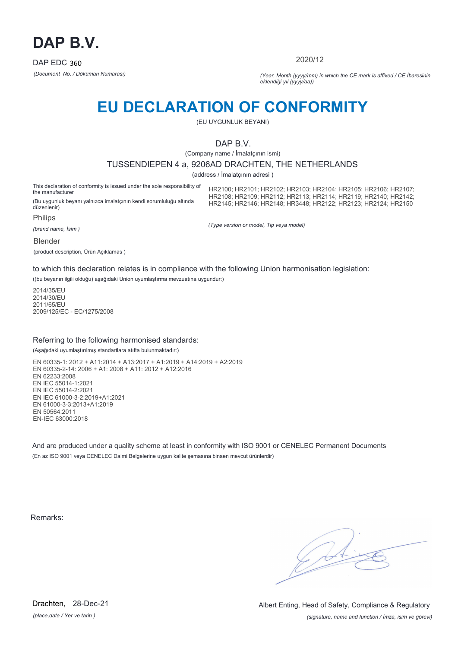

2020/12

*(Document No. / Döküman Numarası) (Year, Month (yyyy/mm) in which the CE mark is affixed / CE İbaresinin eklendiği yıl (yyyy/aa))*

## **EU DECLARATION OF CONFORMITY**

(EU UYGUNLUK BEYANI)

## DAP B.V.

(Company name / İmalatçının ismi)

#### TUSSENDIEPEN 4 a, 9206AD DRACHTEN, THE NETHERLANDS

(address / İmalatçının adresi )

This declaration of conformity is issued under the sole responsibility of the manufacturer (Bu uygunluk beyanı yalnızca imalatçının kendi sorumluluğu altında

HR2100; HR2101; HR2102; HR2103; HR2104; HR2105; HR2106; HR2107; HR2108; HR2109; HR2112; HR2113; HR2114; HR2119; HR2140; HR2142; HR2145; HR2146; HR2148; HR3448; HR2122; HR2123; HR2124; HR2150

düzenlenir)

Philips

*(brand name, İsim )*

*(Type version or model, Tip veya model)*

Blender

(product description, Ürün Açıklamas )

to which this declaration relates is in compliance with the following Union harmonisation legislation:

((bu beyanın ilgili olduğu) aşağıdaki Union uyumlaştırma mevzuatına uygundur:)

2014/35/EU 2014/30/EU 2011/65/EU 2009/125/EC - EC/1275/2008

### Referring to the following harmonised standards:

(Aşağıdaki uyumlaştırılmış standartlara atıfta bulunmaktadır:)

EN 60335-1: 2012 + A11:2014 + A13:2017 + A1:2019 + A14:2019 + A2:2019 EN 60335-2-14: 2006 + A1: 2008 + A11: 2012 + A12:2016 EN 62233:2008 EN IEC 55014-1:2021 EN IEC 55014-2:2021 EN IEC 61000-3-2:2019+A1:2021 EN 61000-3-3:2013+A1:2019 EN 50564:2011 EN-IEC 63000:2018

And are produced under a quality scheme at least in conformity with ISO 9001 or CENELEC Permanent Documents (En az ISO 9001 veya CENELEC Daimi Belgelerine uygun kalite şemasına binaen mevcut ürünlerdir)

Remarks:

*(place,date / Yer ve tarih )* Drachten, 28-Dec-21

*(signature, name and function / İmza, isim ve görevi)* Albert Enting, Head of Safety, Compliance & Regulatory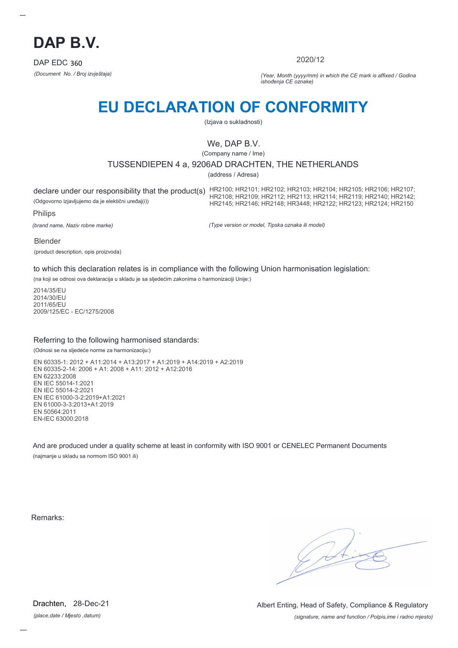

2020/12

*(Document No. / Broj izvještaja) (Year, Month (yyyy/mm) in which the CE mark is affixed / Godina ishođenja CE oznake)*

# **EU DECLARATION OF CONFORMITY**

(Izjava o sukladnosti)

## We, DAP B.V.

(Company name / Ime)

## TUSSENDIEPEN 4 a, 9206AD DRACHTEN, THE NETHERLANDS

(address / Adresa)

(Odgovorno izjavljujemo da je elektični uređaj(i))

declare under our responsibility that the product(s) HR2100; HR2101; HR2102; HR2103; HR2104; HR2105; HR2106; HR2107; HR2108; HR2109; HR2112; HR2113; HR2114; HR2119; HR2140; HR2142; HR2145; HR2146; HR2148; HR3448; HR2122; HR2123; HR2124; HR2150

Philips

*(brand name, Naziv robne marke)*

*(Type version or model, Tipska oznaka ili model)*

Blender

(product description, opis proizvoda)

to which this declaration relates is in compliance with the following Union harmonisation legislation:

(na koji se odnosi ova deklaracija u skladu je sa sljedećim zakonima o harmonizaciji Unije:)

2014/35/EU 2014/30/EU 2011/65/EU 2009/125/EC - EC/1275/2008

### Referring to the following harmonised standards:

(Odnosi se na sljedeće norme za harmonizaciju:)

EN 60335-1: 2012 + A11:2014 + A13:2017 + A1:2019 + A14:2019 + A2:2019 EN 60335-2-14: 2006 + A1: 2008 + A11: 2012 + A12:2016 EN 62233:2008 EN IEC 55014-1:2021 EN IEC 55014-2:2021 EN IEC 61000-3-2:2019+A1:2021 EN 61000-3-3:2013+A1:2019 EN 50564:2011 EN-IEC 63000:2018

And are produced under a quality scheme at least in conformity with ISO 9001 or CENELEC Permanent Documents (najmanje u skladu sa normom ISO 9001 ili)

Remarks:

*(place,date / Mjesto ,datum)* Drachten, 28-Dec-21

*(signature, name and function / Potpis,ime i radno mjesto)* Albert Enting, Head of Safety, Compliance & Regulatory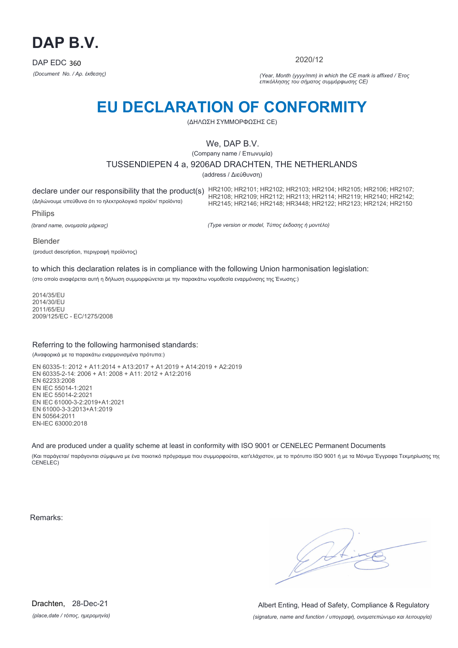

2020/12

*(Document No. / Αρ. έκθεσης) (Year, Month (yyyy/mm) in which the CE mark is affixed / Έτος επικόλλησης του σήματος συμμόρφωσης CE)*

# **EU DECLARATION OF CONFORMITY**

(ΔΗΛΩΣΗ ΣΥΜΜΟΡΦΩΣΗΣ CE)

## We, DAP B.V.

(Company name / Επωνυμία)

## TUSSENDIEPEN 4 a, 9206AD DRACHTEN, THE NETHERLANDS

(address / Διεύθυνση)

declare under our responsibility that the product(s) HR2100; HR2101; HR2102; HR2103; HR2104; HR2105; HR2106; HR2107; (Δηλώνουμε υπεύθυνα ότι το ηλεκτρολογικό προϊόν/ προϊόντα) Philips HR2108; HR2109; HR2112; HR2113; HR2114; HR2119; HR2140; HR2142; HR2145; HR2146; HR2148; HR3448; HR2122; HR2123; HR2124; HR2150

*(brand name, ονομασία μάρκας)*

*(Type version or model, Τύπος έκδοσης ή μοντέλο)*

Blender

(product description, περιγραφή προϊόντος)

to which this declaration relates is in compliance with the following Union harmonisation legislation:

(στο οποίο αναφέρεται αυτή η δήλωση συμμορφώνεται με την παρακάτω νομοθεσία εναρμόνισης της Ένωσης:)

2014/35/EU 2014/30/EU 2011/65/EU 2009/125/EC - EC/1275/2008

### Referring to the following harmonised standards:

(Αναφορικά με τα παρακάτω εναρμονισμένα πρότυπα:)

EN 60335-1: 2012 + A11:2014 + A13:2017 + A1:2019 + A14:2019 + A2:2019 EN 60335-2-14: 2006 + A1: 2008 + A11: 2012 + A12:2016 EN 62233:2008 EN IEC 55014-1:2021 EN IEC 55014-2:2021 EN IEC 61000-3-2:2019+A1:2021 EN 61000-3-3:2013+A1:2019 EN 50564:2011 EN-IEC 63000:2018

And are produced under a quality scheme at least in conformity with ISO 9001 or CENELEC Permanent Documents

(Και παράγεται/ παράγονται σύμφωνα με ένα ποιοτικό πρόγραμμα που συμμορφούται, κατ'ελάχιστον, με το πρότυπο ISO 9001 ή με τα Μόνιμα Έγγραφα Τεκμηρίωσης της CENELEC)

Remarks:

*(place,date / τόπος, ημερομηνία)* Drachten, 28-Dec-21

*(signature, name and function / υπογραφή, ονοματεπώνυμο και λειτουργία)* Albert Enting, Head of Safety, Compliance & Regulatory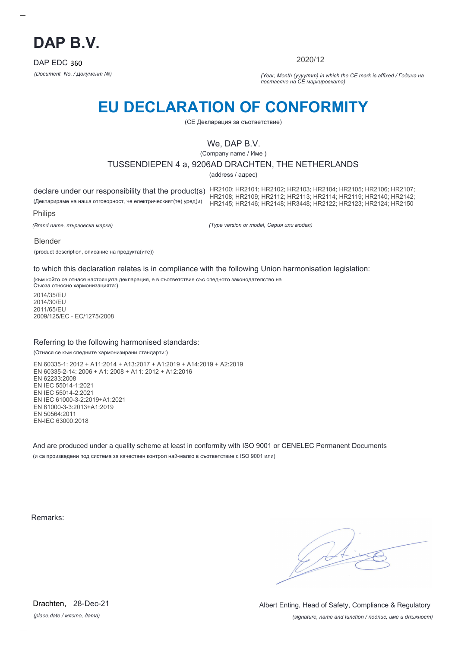

2020/12

*(Document No. / Документ №) (Year, Month (yyyy/mm) in which the CE mark is affixed / Година на поставяне на CE маркировката)*

# **EU DECLARATION OF CONFORMITY**

(CE Декларация за съответствие)

## We, DAP B.V.

(Company name / Име )

### TUSSENDIEPEN 4 a, 9206AD DRACHTEN, THE NETHERLANDS

(address / адрес)

(Декларираме на наша отговорност, че електрическият(те) уред(и)

declare under our responsibility that the product(s) HR2100; HR2101; HR2102; HR2103; HR2104; HR2105; HR2106; HR2107; HR2108; HR2109; HR2112; HR2113; HR2114; HR2119; HR2140; HR2142; HR2145; HR2146; HR2148; HR3448; HR2122; HR2123; HR2124; HR2150

Philips

*(Brand name, търговска марка)*

*(Type version or model, Серия или модел)*

Blender

(product description, описание на продукта(ите))

to which this declaration relates is in compliance with the following Union harmonisation legislation:

(към който се отнася настоящата декларация, е в съответствие със следното законодателство на Съюза относно хармонизацията:)

2014/35/EU 2014/30/EU 2011/65/EU 2009/125/EC - EC/1275/2008

#### Referring to the following harmonised standards:

(Отнася се към следните хармонизирани стандарти:)

EN 60335-1: 2012 + A11:2014 + A13:2017 + A1:2019 + A14:2019 + A2:2019 EN 60335-2-14: 2006 + A1: 2008 + A11: 2012 + A12:2016 EN 62233:2008 EN IEC 55014-1:2021 EN IEC 55014-2:2021 EN IEC 61000-3-2:2019+A1:2021 EN 61000-3-3:2013+A1:2019 EN 50564:2011 EN-IEC 63000:2018

And are produced under a quality scheme at least in conformity with ISO 9001 or CENELEC Permanent Documents (и са произведени под система за качествен контрол най-малко в съответствие с ISO 9001 или)

Remarks:

*(place,date / място, дата)* Drachten, 28-Dec-21

*(signature, name and function / подпис, име и длъжност)* Albert Enting, Head of Safety, Compliance & Regulatory